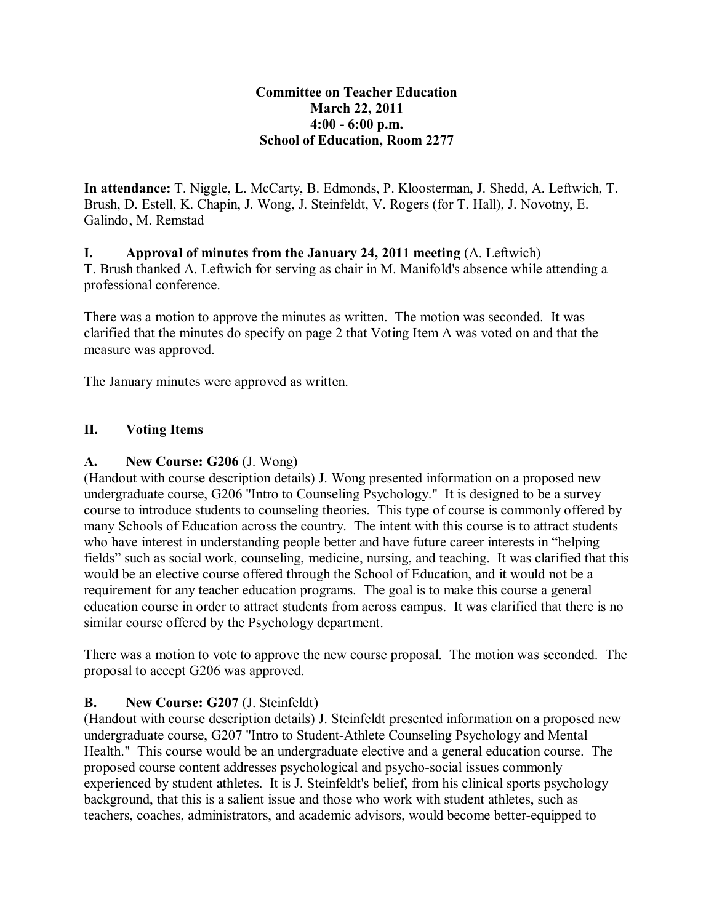#### **Committee on Teacher Education March 22, 2011 4:00 - 6:00 p.m. School of Education, Room 2277**

**In attendance:** T. Niggle, L. McCarty, B. Edmonds, P. Kloosterman, J. Shedd, A. Leftwich, T. Brush, D. Estell, K. Chapin, J. Wong, J. Steinfeldt, V. Rogers (for T. Hall), J. Novotny, E. Galindo, M. Remstad

**I. Approval of minutes from the January 24, 2011 meeting** (A. Leftwich) T. Brush thanked A. Leftwich for serving as chair in M. Manifold's absence while attending a professional conference.

There was a motion to approve the minutes as written. The motion was seconded. It was clarified that the minutes do specify on page 2 that Voting Item A was voted on and that the measure was approved.

The January minutes were approved as written.

## **II. Voting Items**

### **A. New Course: G206** (J. Wong)

(Handout with course description details) J. Wong presented information on a proposed new undergraduate course, G206 "Intro to Counseling Psychology." It is designed to be a survey course to introduce students to counseling theories. This type of course is commonly offered by many Schools of Education across the country. The intent with this course is to attract students who have interest in understanding people better and have future career interests in "helping fields" such as social work, counseling, medicine, nursing, and teaching. It was clarified that this would be an elective course offered through the School of Education, and it would not be a requirement for any teacher education programs. The goal is to make this course a general education course in order to attract students from across campus. It was clarified that there is no similar course offered by the Psychology department.

There was a motion to vote to approve the new course proposal. The motion was seconded. The proposal to accept G206 was approved.

### **B. New Course: G207** (J. Steinfeldt)

(Handout with course description details) J. Steinfeldt presented information on a proposed new undergraduate course, G207 "Intro to Student-Athlete Counseling Psychology and Mental Health." This course would be an undergraduate elective and a general education course. The proposed course content addresses psychological and psycho-social issues commonly experienced by student athletes. It is J. Steinfeldt's belief, from his clinical sports psychology background, that this is a salient issue and those who work with student athletes, such as teachers, coaches, administrators, and academic advisors, would become better-equipped to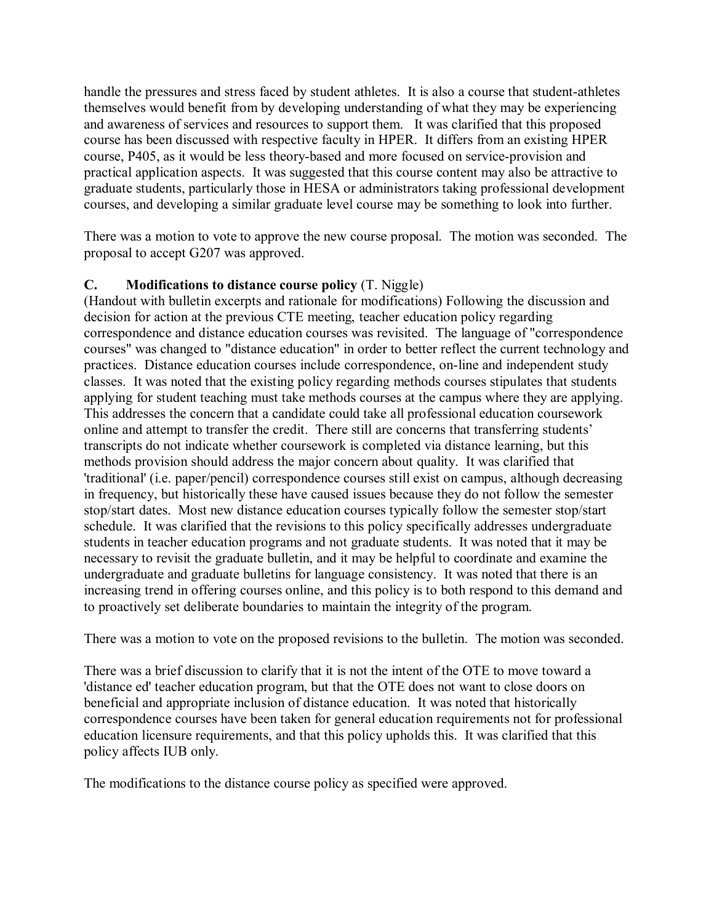handle the pressures and stress faced by student athletes. It is also a course that student-athletes themselves would benefit from by developing understanding of what they may be experiencing and awareness of services and resources to support them. It was clarified that this proposed course has been discussed with respective faculty in HPER. It differs from an existing HPER course, P405, as it would be less theory-based and more focused on service-provision and practical application aspects. It was suggested that this course content may also be attractive to graduate students, particularly those in HESA or administrators taking professional development courses, and developing a similar graduate level course may be something to look into further.

There was a motion to vote to approve the new course proposal. The motion was seconded. The proposal to accept G207 was approved.

### **C. Modifications to distance course policy** (T. Niggle)

(Handout with bulletin excerpts and rationale for modifications) Following the discussion and decision for action at the previous CTE meeting, teacher education policy regarding correspondence and distance education courses was revisited. The language of "correspondence courses" was changed to "distance education" in order to better reflect the current technology and practices. Distance education courses include correspondence, on-line and independent study classes. It was noted that the existing policy regarding methods courses stipulates that students applying for student teaching must take methods courses at the campus where they are applying. This addresses the concern that a candidate could take all professional education coursework online and attempt to transfer the credit. There still are concerns that transferring students' transcripts do not indicate whether coursework is completed via distance learning, but this methods provision should address the major concern about quality. It was clarified that 'traditional' (i.e. paper/pencil) correspondence courses still exist on campus, although decreasing in frequency, but historically these have caused issues because they do not follow the semester stop/start dates. Most new distance education courses typically follow the semester stop/start schedule. It was clarified that the revisions to this policy specifically addresses undergraduate students in teacher education programs and not graduate students. It was noted that it may be necessary to revisit the graduate bulletin, and it may be helpful to coordinate and examine the undergraduate and graduate bulletins for language consistency. It was noted that there is an increasing trend in offering courses online, and this policy is to both respond to this demand and to proactively set deliberate boundaries to maintain the integrity of the program.

There was a motion to vote on the proposed revisions to the bulletin. The motion was seconded.

There was a brief discussion to clarify that it is not the intent of the OTE to move toward a 'distance ed' teacher education program, but that the OTE does not want to close doors on beneficial and appropriate inclusion of distance education. It was noted that historically correspondence courses have been taken for general education requirements not for professional education licensure requirements, and that this policy upholds this. It was clarified that this policy affects IUB only.

The modifications to the distance course policy as specified were approved.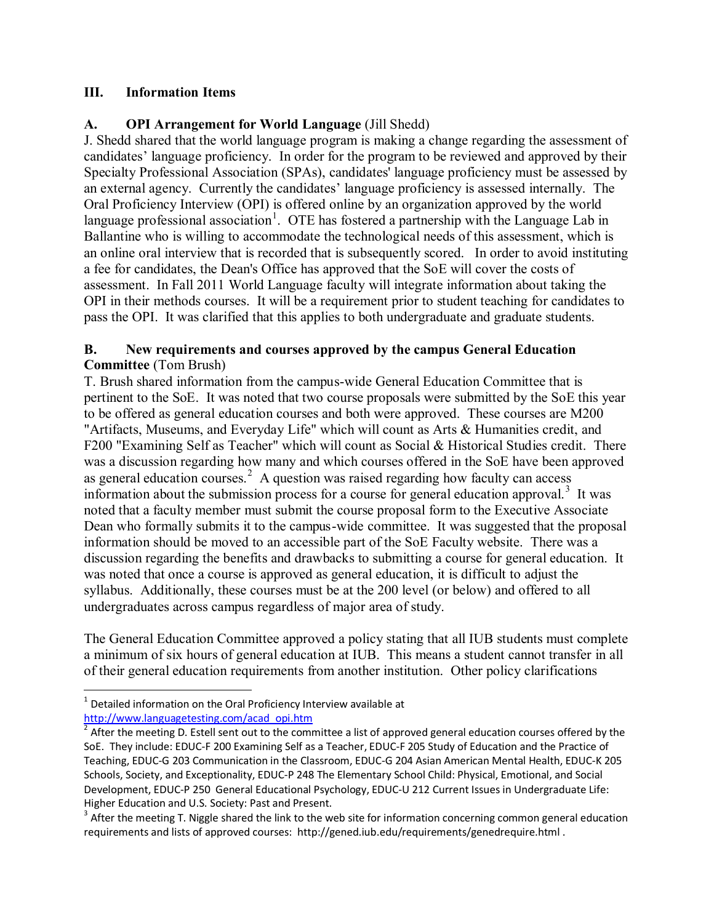### **III. Information Items**

# **A. OPI Arrangement for World Language** (Jill Shedd)

J. Shedd shared that the world language program is making a change regarding the assessment of candidates' language proficiency. In order for the program to be reviewed and approved by their Specialty Professional Association (SPAs), candidates' language proficiency must be assessed by an external agency. Currently the candidates' language proficiency is assessed internally. The Oral Proficiency Interview (OPI) is offered online by an organization approved by the world language professional association<sup>[1](#page-2-0)</sup>. OTE has fostered a partnership with the Language Lab in Ballantine who is willing to accommodate the technological needs of this assessment, which is an online oral interview that is recorded that is subsequently scored. In order to avoid instituting a fee for candidates, the Dean's Office has approved that the SoE will cover the costs of assessment. In Fall 2011 World Language faculty will integrate information about taking the OPI in their methods courses. It will be a requirement prior to student teaching for candidates to pass the OPI. It was clarified that this applies to both undergraduate and graduate students.

### **B. New requirements and courses approved by the campus General Education Committee** (Tom Brush)

T. Brush shared information from the campus-wide General Education Committee that is pertinent to the SoE. It was noted that two course proposals were submitted by the SoE this year to be offered as general education courses and both were approved. These courses are M200 "Artifacts, Museums, and Everyday Life" which will count as Arts & Humanities credit, and F200 "Examining Self as Teacher" which will count as Social & Historical Studies credit. There was a discussion regarding how many and which courses offered in the SoE have been approved as general education courses. $2$  A question was raised regarding how faculty can access information about the submission process for a course for general education approval.<sup>[3](#page-2-2)</sup> It was noted that a faculty member must submit the course proposal form to the Executive Associate Dean who formally submits it to the campus-wide committee. It was suggested that the proposal information should be moved to an accessible part of the SoE Faculty website. There was a discussion regarding the benefits and drawbacks to submitting a course for general education. It was noted that once a course is approved as general education, it is difficult to adjust the syllabus. Additionally, these courses must be at the 200 level (or below) and offered to all undergraduates across campus regardless of major area of study.

The General Education Committee approved a policy stating that all IUB students must complete a minimum of six hours of general education at IUB. This means a student cannot transfer in all of their general education requirements from another institution. Other policy clarifications

 $\overline{\phantom{0}}$ 

<span id="page-2-0"></span> $1$  Detailed information on the Oral Proficiency Interview available at [http://www.languagetesting.com/acad\\_opi.htm](http://www.languagetesting.com/acad_opi.htm)

<span id="page-2-1"></span> $\frac{1}{2}$  After the meeting D. Estell sent out to the committee a list of approved general education courses offered by the SoE. They include: EDUC-F 200 Examining Self as a Teacher, EDUC-F 205 Study of Education and the Practice of Teaching, EDUC-G 203 Communication in the Classroom, EDUC-G 204 Asian American Mental Health, EDUC-K 205 Schools, Society, and Exceptionality, EDUC-P 248 The Elementary School Child: Physical, Emotional, and Social Development, EDUC-P 250 General Educational Psychology, EDUC-U 212 Current Issues in Undergraduate Life: Higher Education and U.S. Society: Past and Present.

<span id="page-2-2"></span> $3$  After the meeting T. Niggle shared the link to the web site for information concerning common general education requirements and lists of approved courses: http://gened.iub.edu/requirements/genedrequire.html .